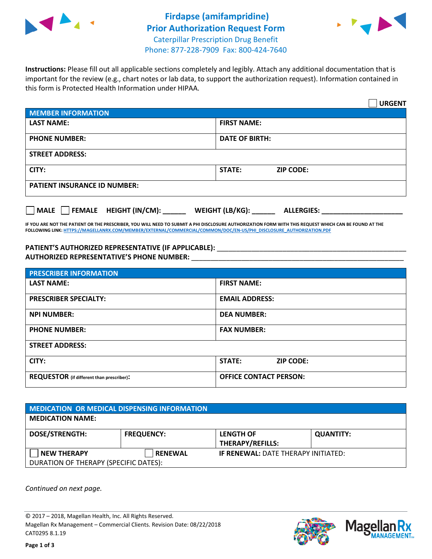



**Instructions:** Please fill out all applicable sections completely and legibly. Attach any additional documentation that is important for the review (e.g., chart notes or lab data, to support the authorization request). Information contained in this form is Protected Health Information under HIPAA.

|                                       | <b>URGENT</b>                          |
|---------------------------------------|----------------------------------------|
| <b>MEMBER INFORMATION</b>             |                                        |
| <b>LAST NAME:</b>                     | <b>FIRST NAME:</b>                     |
| <b>PHONE NUMBER:</b>                  | <b>DATE OF BIRTH:</b>                  |
| <b>STREET ADDRESS:</b>                |                                        |
| CITY:                                 | <b>STATE:</b><br><b>ZIP CODE:</b>      |
| <b>PATIENT INSURANCE ID NUMBER:</b>   |                                        |
| FEMALE HEIGHT (IN/CM):<br><b>MALE</b> | WEIGHT (LB/KG): _<br><b>ALLERGIES:</b> |

**IF YOU ARE NOT THE PATIENT OR THE PRESCRIBER, YOU WILL NEED TO SUBMIT A PHI DISCLOSURE AUTHORIZATION FORM WITH THIS REQUEST WHICH CAN BE FOUND AT THE FOLLOWING LINK[: HTTPS://MAGELLANRX.COM/MEMBER/EXTERNAL/COMMERCIAL/COMMON/DOC/EN-US/PHI\\_DISCLOSURE\\_AUTHORIZATION.PDF](https://magellanrx.com/member/external/commercial/common/doc/en-us/PHI_Disclosure_Authorization.pdf)**

PATIENT'S AUTHORIZED REPRESENTATIVE (IF APPLICABLE): \_\_\_\_\_\_\_\_\_\_\_\_\_\_\_\_\_\_\_\_\_\_\_\_\_\_\_ **AUTHORIZED REPRESENTATIVE'S PHONE NUMBER:** \_\_\_\_\_\_\_\_\_\_\_\_\_\_\_\_\_\_\_\_\_\_\_\_\_\_\_\_\_\_\_\_\_\_\_\_\_\_\_\_\_\_\_\_\_\_\_\_\_\_\_\_\_\_\_

| <b>PRESCRIBER INFORMATION</b>             |                               |  |  |  |
|-------------------------------------------|-------------------------------|--|--|--|
| <b>LAST NAME:</b>                         | <b>FIRST NAME:</b>            |  |  |  |
| <b>PRESCRIBER SPECIALTY:</b>              | <b>EMAIL ADDRESS:</b>         |  |  |  |
| <b>NPI NUMBER:</b>                        | <b>DEA NUMBER:</b>            |  |  |  |
| <b>PHONE NUMBER:</b>                      | <b>FAX NUMBER:</b>            |  |  |  |
| <b>STREET ADDRESS:</b>                    |                               |  |  |  |
| CITY:                                     | STATE:<br><b>ZIP CODE:</b>    |  |  |  |
| REQUESTOR (if different than prescriber): | <b>OFFICE CONTACT PERSON:</b> |  |  |  |

| <b>MEDICATION OR MEDICAL DISPENSING INFORMATION</b> |                   |                                            |                  |  |
|-----------------------------------------------------|-------------------|--------------------------------------------|------------------|--|
| <b>MEDICATION NAME:</b>                             |                   |                                            |                  |  |
| <b>DOSE/STRENGTH:</b>                               | <b>FREQUENCY:</b> | <b>LENGTH OF</b>                           | <b>QUANTITY:</b> |  |
|                                                     |                   | <b>THERAPY/REFILLS:</b>                    |                  |  |
| NEW THERAPY                                         | <b>RENEWAL</b>    | <b>IF RENEWAL: DATE THERAPY INITIATED:</b> |                  |  |
| DURATION OF THERAPY (SPECIFIC DATES):               |                   |                                            |                  |  |

*Continued on next page.*

© 2017 – 2018, Magellan Health, Inc. All Rights Reserved. Magellan Rx Management – Commercial Clients. Revision Date: 08/22/2018 CAT0295 8.1.19



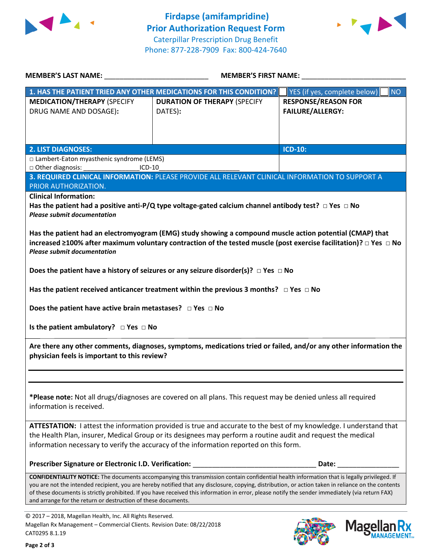



|                                                                                                                                                       | <b>MEMBER'S LAST NAME:</b> NAME<br><b>MEMBER'S FIRST NAME:</b>                                                                                                                                                                                                                                                                                                                                                                                                |                                                |  |
|-------------------------------------------------------------------------------------------------------------------------------------------------------|---------------------------------------------------------------------------------------------------------------------------------------------------------------------------------------------------------------------------------------------------------------------------------------------------------------------------------------------------------------------------------------------------------------------------------------------------------------|------------------------------------------------|--|
|                                                                                                                                                       | 1. HAS THE PATIENT TRIED ANY OTHER MEDICATIONS FOR THIS CONDITION?                                                                                                                                                                                                                                                                                                                                                                                            | YES (if yes, complete below)<br><b>NO</b>      |  |
| <b>MEDICATION/THERAPY (SPECIFY</b><br>DRUG NAME AND DOSAGE):                                                                                          | <b>DURATION OF THERAPY (SPECIFY</b><br>DATES):                                                                                                                                                                                                                                                                                                                                                                                                                | <b>RESPONSE/REASON FOR</b><br>FAILURE/ALLERGY: |  |
| <b>2. LIST DIAGNOSES:</b>                                                                                                                             |                                                                                                                                                                                                                                                                                                                                                                                                                                                               | <b>ICD-10:</b>                                 |  |
| □ Lambert-Eaton myasthenic syndrome (LEMS)                                                                                                            |                                                                                                                                                                                                                                                                                                                                                                                                                                                               |                                                |  |
| □ Other diagnosis:<br>$ICD-10$<br>PRIOR AUTHORIZATION.<br><b>Clinical Information:</b><br><b>Please submit documentation</b>                          | 3. REQUIRED CLINICAL INFORMATION: PLEASE PROVIDE ALL RELEVANT CLINICAL INFORMATION TO SUPPORT A<br>Has the patient had a positive anti-P/Q type voltage-gated calcium channel antibody test? $\Box$ Yes $\Box$ No                                                                                                                                                                                                                                             |                                                |  |
| <b>Please submit documentation</b>                                                                                                                    | Has the patient had an electromyogram (EMG) study showing a compound muscle action potential (CMAP) that<br>increased ≥100% after maximum voluntary contraction of the tested muscle (post exercise facilitation)? □ Yes □ No<br>Does the patient have a history of seizures or any seizure disorder(s)? $\Box$ Yes $\Box$ No                                                                                                                                 |                                                |  |
| Does the patient have active brain metastases? $\Box$ Yes $\Box$ No                                                                                   | Has the patient received anticancer treatment within the previous 3 months? $\Box$ Yes $\Box$ No                                                                                                                                                                                                                                                                                                                                                              |                                                |  |
| Is the patient ambulatory? $\Box$ Yes $\Box$ No                                                                                                       |                                                                                                                                                                                                                                                                                                                                                                                                                                                               |                                                |  |
| physician feels is important to this review?                                                                                                          | Are there any other comments, diagnoses, symptoms, medications tried or failed, and/or any other information the                                                                                                                                                                                                                                                                                                                                              |                                                |  |
|                                                                                                                                                       |                                                                                                                                                                                                                                                                                                                                                                                                                                                               |                                                |  |
| information is received.                                                                                                                              | *Please note: Not all drugs/diagnoses are covered on all plans. This request may be denied unless all required                                                                                                                                                                                                                                                                                                                                                |                                                |  |
|                                                                                                                                                       | ATTESTATION: I attest the information provided is true and accurate to the best of my knowledge. I understand that<br>the Health Plan, insurer, Medical Group or its designees may perform a routine audit and request the medical<br>information necessary to verify the accuracy of the information reported on this form.                                                                                                                                  |                                                |  |
| Prescriber Signature or Electronic I.D. Verification:                                                                                                 |                                                                                                                                                                                                                                                                                                                                                                                                                                                               | Date:                                          |  |
| and arrange for the return or destruction of these documents.                                                                                         | <b>CONFIDENTIALITY NOTICE:</b> The documents accompanying this transmission contain confidential health information that is legally privileged. If<br>you are not the intended recipient, you are hereby notified that any disclosure, copying, distribution, or action taken in reliance on the contents<br>of these documents is strictly prohibited. If you have received this information in error, please notify the sender immediately (via return FAX) |                                                |  |
| © 2017 - 2018, Magellan Health, Inc. All Rights Reserved.<br>Magellan Rx Management - Commercial Clients. Revision Date: 08/22/2018<br>CAT0295 8.1.19 |                                                                                                                                                                                                                                                                                                                                                                                                                                                               | <b>Magel</b>                                   |  |